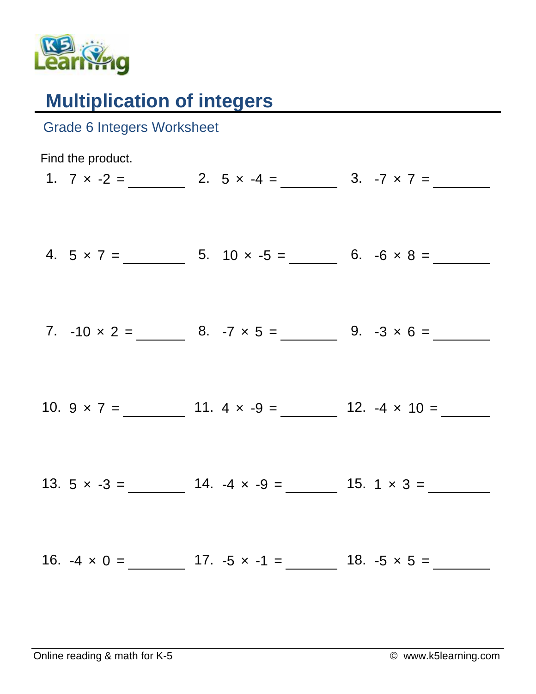

## **Multiplication of integers**

| <b>Grade 6 Integers Worksheet</b> |                                                             |  |
|-----------------------------------|-------------------------------------------------------------|--|
| Find the product.                 | 1. $7 \times -2 =$ 2. $5 \times -4 =$ 3. $-7 \times 7 =$    |  |
|                                   | 4. $5 \times 7 =$ 5. $10 \times -5 =$ 6. $-6 \times 8 =$    |  |
|                                   | 7. $-10 \times 2 =$ 8. $-7 \times 5 =$ 9. $-3 \times 6 =$   |  |
|                                   | 10. $9 \times 7 =$ 11. $4 \times -9 =$ 12. $-4 \times 10 =$ |  |
|                                   |                                                             |  |
|                                   |                                                             |  |